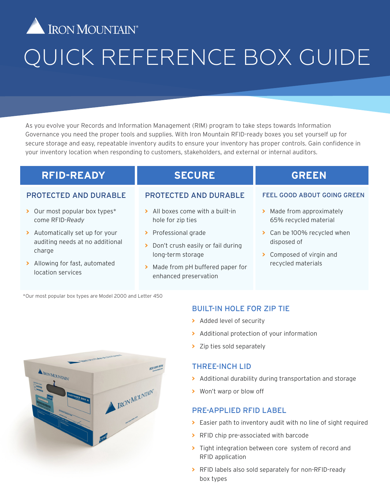

# QUICK REFERENCE BOX GUIDE

As you evolve your Records and Information Management (RIM) program to take steps towards Information Governance you need the proper tools and supplies. With Iron Mountain RFID-ready boxes you set yourself up for secure storage and easy, repeatable inventory audits to ensure your inventory has proper controls. Gain confidence in your inventory location when responding to customers, stakeholders, and external or internal auditors.

## **RFID-READY**

## **SECURE**

#### PROTECTED AND DURABLE

- **>** Our most popular box types\* come RFID-*Ready*
- **>** Automatically set up for your auditing needs at no additional charge
- **>** Allowing for fast, automated location services

#### PROTECTED AND DURABLE

- **>** All boxes come with a built-in hole for zip ties
- **>** Professional grade
- **>** Don't crush easily or fail during long-term storage
- **>** Made from pH buffered paper for enhanced preservation

## **GREEN**

#### FEEL GOOD ABOUT GOING GREEN

- **>** Made from approximately 65% recycled material
- **>** Can be 100% recycled when disposed of
- **>** Composed of virgin and recycled materials

\*Our most popular box types are Model 2000 and Letter 450



- **>** Added level of security
- **>** Additional protection of your information
- **>** Zip ties sold separately

#### THREE-INCH LID

- **>** Additional durability during transportation and storage
- **>** Won't warp or blow off

#### PRE-APPLIED RFID LABEL

- **>** Easier path to inventory audit with no line of sight required
- **>** RFID chip pre-associated with barcode
- **>** Tight integration between core system of record and RFID application
- **>** RFID labels also sold separately for non-RFID-ready box types